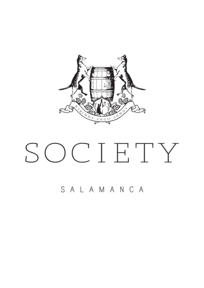

# SOCIETY

SALAMANCA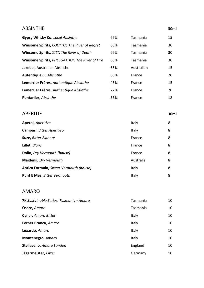## ABSINTHE **30ml**

| <b>Gypsy Whisky Co. Local Absinthe</b>        | 65% | Tasmania   | 15 |
|-----------------------------------------------|-----|------------|----|
| Winsome Spirits, COCYTUS The River of Regret  | 65% | Tasmania   | 30 |
| Winsome Spirits, STYX The River of Death      | 65% | Tasmania   | 30 |
| Winsome Spirits, PHLEGATHON The River of Fire | 65% | Tasmania   | 30 |
| Jezebel, Australian Absinthe                  | 65% | Australian | 15 |
| Autentique 65 Absinthe                        | 65% | France     | 20 |
| Lemercier Fréres, Authentique Absinthe        | 45% | France     | 15 |
| Lemercier Fréres, Authentique Absinthe        | 72% | France     | 20 |
| <b>Pontarlier, Absinthe</b>                   | 56% | France     | 18 |

# APERITIF **30ml**

| Aperol, Aperitivo                      | Italy     | 8 |
|----------------------------------------|-----------|---|
| Campari, Bitter Aperitivo              | Italy     | 8 |
| Suze, Bitter Élaborè                   | France    | 8 |
| Lillet, Blanc                          | France    | 8 |
| <b>Dolin, Dry Vermouth (house)</b>     | France    | 8 |
| Maidenii, Dry Vermouth                 | Australia | 8 |
| Antica Formula, Sweet Vermouth (house) | Italy     | 8 |
| <b>Punt E Mes, Bitter Vermouth</b>     | Italy     | 8 |

## AMARO

| 7K Sustainable Series, Tasmanian Amaro | Tasmania | 10 |
|----------------------------------------|----------|----|
| Osare, Amaro                           | Tasmania | 10 |
| Cynar, Amaro Bitter                    | Italy    | 10 |
| Fernet Branca, Amaro                   | Italy    | 10 |
| Luxardo, Amaro                         | Italy    | 10 |
| Montenegro, Amaro                      | Italy    | 10 |
| Stellacello, Amaro London              | England  | 10 |
| Jägermeister, Elixer                   | Germany  | 10 |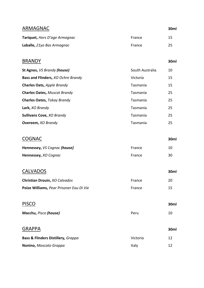| ARMAGNAC                      |        | 30ml |
|-------------------------------|--------|------|
| Tariquet, Hors D'age Armagnac | France | 15   |
| Laballe, 21yo Bas Armagnac    | France | 25   |

# BRANDY **30ml**

| <b>St Agnes, VS Brandy (house)</b>  | South Australia | 10 |
|-------------------------------------|-----------------|----|
| Bass and Flinders, XO Ochre Brandy  | Victoria        | 15 |
| Charles Oats, Apple Brandy          | Tasmania        | 15 |
| <b>Charles Oates, Muscat Brandy</b> | Tasmania        | 25 |
| Charles Oates, Tokay Brandy         | Tasmania        | 25 |
| Lark, XO Brandy                     | Tasmania        | 25 |
| <b>Sullivans Cove, XO Brandy</b>    | Tasmania        | 25 |
| <b>Overeem, XO Brandy</b>           | Tasmania        | 25 |

# COGNAC **30ml**

| Hennessey, VS Cognac (house) | France | 10 |
|------------------------------|--------|----|
| Hennessey, XO Cognac         | France | 30 |

# CALVADOS **30ml**

| Christian Drouin, XO Calvados            | France        | 20 |
|------------------------------------------|---------------|----|
| Poize Williams, Pear Prisoner Eau Di Vie | <b>France</b> | 15 |

| <b>PISCO</b>                                  |          | 30ml |
|-----------------------------------------------|----------|------|
| Macchu, Pisco (house)                         | Peru     | 10   |
| <b>GRAPPA</b>                                 |          | 30ml |
| <b>Bass &amp; Flinders Distillery, Grappa</b> | Victoria | 12   |
| Nonino, Moscato Grappa                        | Italy    | 12   |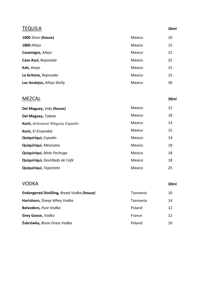| <b>TEQUILA</b>             |        | 30ml |
|----------------------------|--------|------|
| 1800 Silver (house)        | Mexico | 10   |
| 1800 Añejo                 | Mexico | 15   |
| Casamigos, Añejo           | Mexico | 15   |
| Case Azul, Reposado        | Mexico | 25   |
| Kah, Anejo                 | Mexico | 15   |
| La Gritona, Reposado       | Mexico | 15   |
| Loz Azulejos, Añejo Skelly | Mexico | 30   |

## MEZCAL **30ml**

| Del Maguey, Vida (house)        | Mexico | 12 |
|---------------------------------|--------|----|
| Del Maguey, Tobala              | Mexico | 18 |
| Koch, Artesanal Maguey Espadín  | Mexico | 14 |
| Koch, El Ensamble               | Mexico | 15 |
| Quiquiriqui, Espadin            | Mexico | 14 |
| Quiquiriqui, Mexicana           | Mexico | 18 |
| Quiquiriqui, Mole Pechuga       | Mexico | 18 |
| Quiquiriqui, Destillado de Café | Mexico | 18 |
| Quiquiriqui, Tepeztate          | Mexico | 25 |

## VODKA **30ml**

| <b>Endangered Distilling, Bread Vodka (house)</b> | Tasmania | 10 |
|---------------------------------------------------|----------|----|
| Hartshorn, Sheep Whey Vodka                       | Tasmania | 14 |
| Belvedere, Pure Vodka                             | Poland   | 12 |
| Grey Goose, Vodka                                 | France   | 12 |
| Żubrówka, Bison Grass Vodka                       | Poland   | 10 |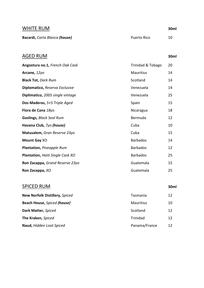| <b>WHITE RUM</b>              |             | 30ml |
|-------------------------------|-------------|------|
| Bacardi, Carta Blanca (house) | Puerto Rico | 10   |

AGED RUM **30ml**

# **Angostura no.1,** *French Oak Cask* Trinidad & Tobago 20 **Arcane,** 12yo **Mauritius** 14 **Black Tot,** *Dark Rum* 14 **Diplomatico,** *Reserva Exclusive* Venezuela Venezuela 14 **Diplimatico,** 2005 single vintage Venezuela Venezuela 25 **Dos Maderas,** 5+5 Triple Aged Spain Spain 15 **Flora de Cana** 18yo **Nicaragua** 18 **Goslings, Black Seal Rum** and the **Bermuda** and the **Bermuda** 12 **Havana Club,** *7yo* (house) Cuba Cuba 10 **Matusalem,** *Gran Reserve 23yo* Cuba Cuba 25 **Mount Gay** XO **Barbados** 14 **Plantation,** *Pineapple Rum* Barbados 12 **Plantation,** *Haiti Single Cask XO* Barbados 25 **Ron Zacappa,** *Grand Reserve 23yo* Guatemala 15 **Ron Zacappa,** *XO* Guatemala 25

### SPICED RUM **30ml**

| New Norfolk Distillery, Spiced | Tasmania         | 12 |
|--------------------------------|------------------|----|
| Beach House, Spiced (house)    | <b>Mauritius</b> | 10 |
| Dark Matter, Spiced            | Scotland         | 12 |
| The Kraken, Spiced             | Trinidad         | 12 |
| Naud, Hidden Loot Spiced       | Panama/France    | 12 |